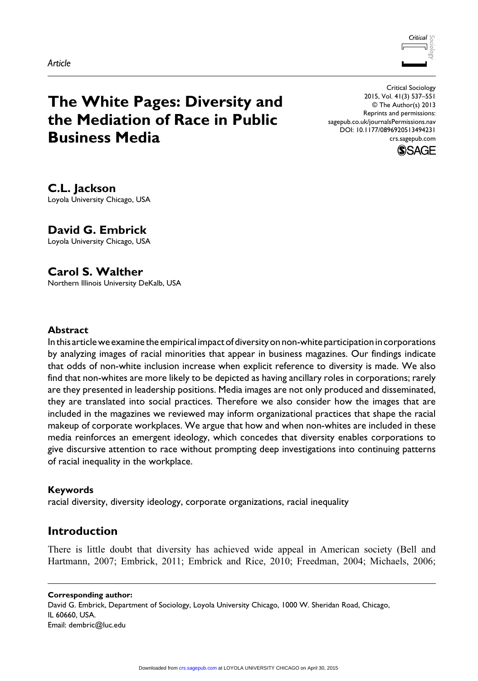

# **The White Pages: Diversity and the Mediation of Race in Public Business Media**

Critical Sociology 2015, Vol. 41(3) 537–551 © The Author(s) 2013 Reprints and permissions: sagepub.co.uk/journalsPermissions.nav DOI: 10.1177/0896920513494231 crs.sagepub.com



**C.L. Jackson** Loyola University Chicago, USA

**David G. Embrick**

Loyola University Chicago, USA

# **Carol S. Walther**

Northern Illinois University DeKalb, USA

#### **Abstract**

In this article we examine the empirical impact of diversity on non-white participation in corporations by analyzing images of racial minorities that appear in business magazines. Our findings indicate that odds of non-white inclusion increase when explicit reference to diversity is made. We also find that non-whites are more likely to be depicted as having ancillary roles in corporations; rarely are they presented in leadership positions. Media images are not only produced and disseminated, they are translated into social practices. Therefore we also consider how the images that are included in the magazines we reviewed may inform organizational practices that shape the racial makeup of corporate workplaces. We argue that how and when non-whites are included in these media reinforces an emergent ideology, which concedes that diversity enables corporations to give discursive attention to race without prompting deep investigations into continuing patterns of racial inequality in the workplace.

## **Keywords**

racial diversity, diversity ideology, corporate organizations, racial inequality

# **Introduction**

There is little doubt that diversity has achieved wide appeal in American society (Bell and Hartmann, 2007; Embrick, 2011; Embrick and Rice, 2010; Freedman, 2004; Michaels, 2006;

**Corresponding author:** David G. Embrick, Department of Sociology, Loyola University Chicago, 1000 W. Sheridan Road, Chicago, IL 60660, USA. Email: dembric@luc.edu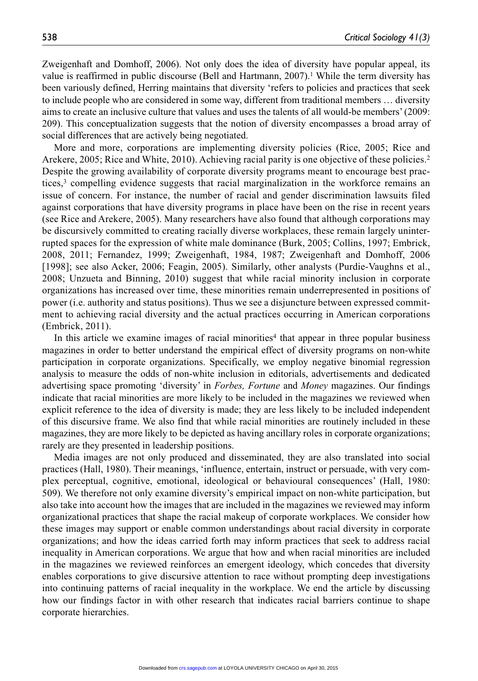Zweigenhaft and Domhoff, 2006). Not only does the idea of diversity have popular appeal, its value is reaffirmed in public discourse (Bell and Hartmann, 2007).<sup>1</sup> While the term diversity has been variously defined, Herring maintains that diversity 'refers to policies and practices that seek to include people who are considered in some way, different from traditional members … diversity aims to create an inclusive culture that values and uses the talents of all would-be members' (2009: 209). This conceptualization suggests that the notion of diversity encompasses a broad array of social differences that are actively being negotiated.

More and more, corporations are implementing diversity policies (Rice, 2005; Rice and Arekere, 2005; Rice and White, 2010). Achieving racial parity is one objective of these policies.2 Despite the growing availability of corporate diversity programs meant to encourage best practices,<sup>3</sup> compelling evidence suggests that racial marginalization in the workforce remains an issue of concern. For instance, the number of racial and gender discrimination lawsuits filed against corporations that have diversity programs in place have been on the rise in recent years (see Rice and Arekere, 2005). Many researchers have also found that although corporations may be discursively committed to creating racially diverse workplaces, these remain largely uninterrupted spaces for the expression of white male dominance (Burk, 2005; Collins, 1997; Embrick, 2008, 2011; Fernandez, 1999; Zweigenhaft, 1984, 1987; Zweigenhaft and Domhoff, 2006 [1998]; see also Acker, 2006; Feagin, 2005). Similarly, other analysts (Purdie-Vaughns et al., 2008; Unzueta and Binning, 2010) suggest that while racial minority inclusion in corporate organizations has increased over time, these minorities remain underrepresented in positions of power (i.e. authority and status positions). Thus we see a disjuncture between expressed commitment to achieving racial diversity and the actual practices occurring in American corporations (Embrick, 2011).

In this article we examine images of racial minorities<sup>4</sup> that appear in three popular business magazines in order to better understand the empirical effect of diversity programs on non-white participation in corporate organizations. Specifically, we employ negative binomial regression analysis to measure the odds of non-white inclusion in editorials, advertisements and dedicated advertising space promoting 'diversity' in *Forbes, Fortune* and *Money* magazines. Our findings indicate that racial minorities are more likely to be included in the magazines we reviewed when explicit reference to the idea of diversity is made; they are less likely to be included independent of this discursive frame. We also find that while racial minorities are routinely included in these magazines, they are more likely to be depicted as having ancillary roles in corporate organizations; rarely are they presented in leadership positions.

Media images are not only produced and disseminated, they are also translated into social practices (Hall, 1980). Their meanings, 'influence, entertain, instruct or persuade, with very complex perceptual, cognitive, emotional, ideological or behavioural consequences' (Hall, 1980: 509). We therefore not only examine diversity's empirical impact on non-white participation, but also take into account how the images that are included in the magazines we reviewed may inform organizational practices that shape the racial makeup of corporate workplaces. We consider how these images may support or enable common understandings about racial diversity in corporate organizations; and how the ideas carried forth may inform practices that seek to address racial inequality in American corporations. We argue that how and when racial minorities are included in the magazines we reviewed reinforces an emergent ideology, which concedes that diversity enables corporations to give discursive attention to race without prompting deep investigations into continuing patterns of racial inequality in the workplace. We end the article by discussing how our findings factor in with other research that indicates racial barriers continue to shape corporate hierarchies.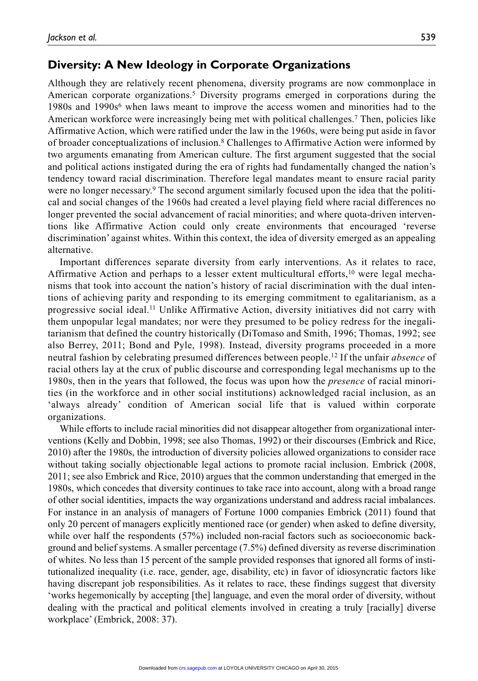Although they are relatively recent phenomena, diversity programs are now commonplace in American corporate organizations.<sup>5</sup> Diversity programs emerged in corporations during the 1980s and 1990s<sup>6</sup> when laws meant to improve the access women and minorities had to the American workforce were increasingly being met with political challenges.7 Then, policies like Affirmative Action, which were ratified under the law in the 1960s, were being put aside in favor of broader conceptualizations of inclusion.8 Challenges to Affirmative Action were informed by two arguments emanating from American culture. The first argument suggested that the social and political actions instigated during the era of rights had fundamentally changed the nation's tendency toward racial discrimination. Therefore legal mandates meant to ensure racial parity were no longer necessary.<sup>9</sup> The second argument similarly focused upon the idea that the political and social changes of the 1960s had created a level playing field where racial differences no longer prevented the social advancement of racial minorities; and where quota-driven interventions like Affirmative Action could only create environments that encouraged 'reverse discrimination' against whites. Within this context, the idea of diversity emerged as an appealing alternative.

Important differences separate diversity from early interventions. As it relates to race, Affirmative Action and perhaps to a lesser extent multicultural efforts,  $\frac{10}{10}$  were legal mechanisms that took into account the nation's history of racial discrimination with the dual intentions of achieving parity and responding to its emerging commitment to egalitarianism, as a progressive social ideal.11 Unlike Affirmative Action, diversity initiatives did not carry with them unpopular legal mandates; nor were they presumed to be policy redress for the inegalitarianism that defined the country historically (DiTomaso and Smith, 1996; Thomas, 1992; see also Berrey, 2011; Bond and Pyle, 1998). Instead, diversity programs proceeded in a more neutral fashion by celebrating presumed differences between people.12 If the unfair *absence* of racial others lay at the crux of public discourse and corresponding legal mechanisms up to the 1980s, then in the years that followed, the focus was upon how the *presence* of racial minorities (in the workforce and in other social institutions) acknowledged racial inclusion, as an 'always already' condition of American social life that is valued within corporate organizations.

While efforts to include racial minorities did not disappear altogether from organizational interventions (Kelly and Dobbin, 1998; see also Thomas, 1992) or their discourses (Embrick and Rice, 2010) after the 1980s, the introduction of diversity policies allowed organizations to consider race without taking socially objectionable legal actions to promote racial inclusion. Embrick (2008, 2011; see also Embrick and Rice, 2010) argues that the common understanding that emerged in the 1980s, which concedes that diversity continues to take race into account, along with a broad range of other social identities, impacts the way organizations understand and address racial imbalances. For instance in an analysis of managers of Fortune 1000 companies Embrick (2011) found that only 20 percent of managers explicitly mentioned race (or gender) when asked to define diversity, while over half the respondents (57%) included non-racial factors such as socioeconomic background and belief systems. A smaller percentage (7.5%) defined diversity as reverse discrimination of whites. No less than 15 percent of the sample provided responses that ignored all forms of institutionalized inequality (i.e. race, gender, age, disability, etc) in favor of idiosyncratic factors like having discrepant job responsibilities. As it relates to race, these findings suggest that diversity 'works hegemonically by accepting [the] language, and even the moral order of diversity, without dealing with the practical and political elements involved in creating a truly [racially] diverse workplace' (Embrick, 2008: 37).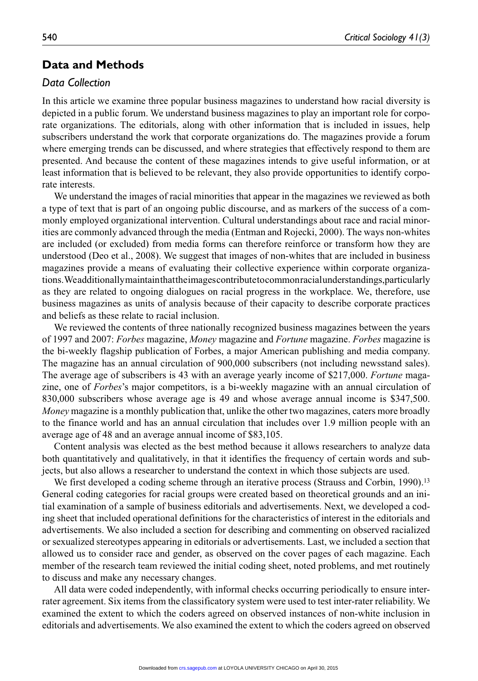# **Data and Methods**

# *Data Collection*

In this article we examine three popular business magazines to understand how racial diversity is depicted in a public forum. We understand business magazines to play an important role for corporate organizations. The editorials, along with other information that is included in issues, help subscribers understand the work that corporate organizations do. The magazines provide a forum where emerging trends can be discussed, and where strategies that effectively respond to them are presented. And because the content of these magazines intends to give useful information, or at least information that is believed to be relevant, they also provide opportunities to identify corporate interests.

We understand the images of racial minorities that appear in the magazines we reviewed as both a type of text that is part of an ongoing public discourse, and as markers of the success of a commonly employed organizational intervention. Cultural understandings about race and racial minorities are commonly advanced through the media (Entman and Rojecki, 2000). The ways non-whites are included (or excluded) from media forms can therefore reinforce or transform how they are understood (Deo et al., 2008). We suggest that images of non-whites that are included in business magazines provide a means of evaluating their collective experience within corporate organizations. We additionally maintain that the images contribute to common racial understandings,particularly as they are related to ongoing dialogues on racial progress in the workplace. We, therefore, use business magazines as units of analysis because of their capacity to describe corporate practices and beliefs as these relate to racial inclusion.

We reviewed the contents of three nationally recognized business magazines between the years of 1997 and 2007: *Forbes* magazine, *Money* magazine and *Fortune* magazine. *Forbes* magazine is the bi-weekly flagship publication of Forbes, a major American publishing and media company. The magazine has an annual circulation of 900,000 subscribers (not including newsstand sales). The average age of subscribers is 43 with an average yearly income of \$217,000. *Fortune* magazine, one of *Forbes*'s major competitors, is a bi-weekly magazine with an annual circulation of 830,000 subscribers whose average age is 49 and whose average annual income is \$347,500. *Money* magazine is a monthly publication that, unlike the other two magazines, caters more broadly to the finance world and has an annual circulation that includes over 1.9 million people with an average age of 48 and an average annual income of \$83,105.

Content analysis was elected as the best method because it allows researchers to analyze data both quantitatively and qualitatively, in that it identifies the frequency of certain words and subjects, but also allows a researcher to understand the context in which those subjects are used.

We first developed a coding scheme through an iterative process (Strauss and Corbin, 1990).<sup>13</sup> General coding categories for racial groups were created based on theoretical grounds and an initial examination of a sample of business editorials and advertisements. Next, we developed a coding sheet that included operational definitions for the characteristics of interest in the editorials and advertisements. We also included a section for describing and commenting on observed racialized or sexualized stereotypes appearing in editorials or advertisements. Last, we included a section that allowed us to consider race and gender, as observed on the cover pages of each magazine. Each member of the research team reviewed the initial coding sheet, noted problems, and met routinely to discuss and make any necessary changes.

All data were coded independently, with informal checks occurring periodically to ensure interrater agreement. Six items from the classificatory system were used to test inter-rater reliability. We examined the extent to which the coders agreed on observed instances of non-white inclusion in editorials and advertisements. We also examined the extent to which the coders agreed on observed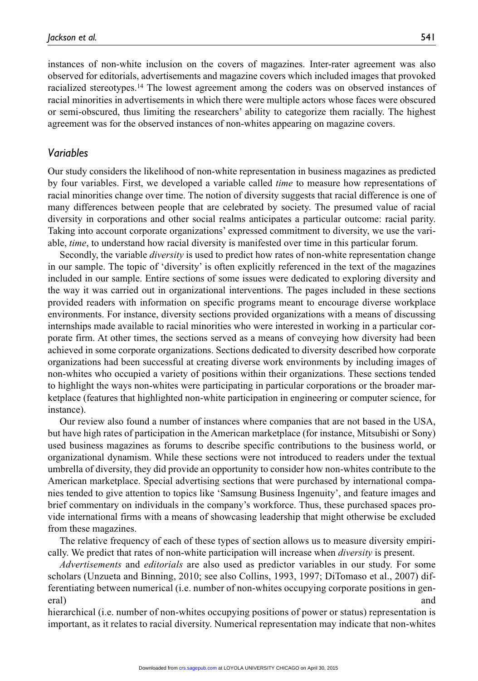instances of non-white inclusion on the covers of magazines. Inter-rater agreement was also observed for editorials, advertisements and magazine covers which included images that provoked racialized stereotypes.14 The lowest agreement among the coders was on observed instances of racial minorities in advertisements in which there were multiple actors whose faces were obscured or semi-obscured, thus limiting the researchers' ability to categorize them racially. The highest agreement was for the observed instances of non-whites appearing on magazine covers.

### *Variables*

Our study considers the likelihood of non-white representation in business magazines as predicted by four variables. First, we developed a variable called *time* to measure how representations of racial minorities change over time. The notion of diversity suggests that racial difference is one of many differences between people that are celebrated by society. The presumed value of racial diversity in corporations and other social realms anticipates a particular outcome: racial parity. Taking into account corporate organizations' expressed commitment to diversity, we use the variable, *time*, to understand how racial diversity is manifested over time in this particular forum.

Secondly, the variable *diversity* is used to predict how rates of non-white representation change in our sample. The topic of 'diversity' is often explicitly referenced in the text of the magazines included in our sample. Entire sections of some issues were dedicated to exploring diversity and the way it was carried out in organizational interventions. The pages included in these sections provided readers with information on specific programs meant to encourage diverse workplace environments. For instance, diversity sections provided organizations with a means of discussing internships made available to racial minorities who were interested in working in a particular corporate firm. At other times, the sections served as a means of conveying how diversity had been achieved in some corporate organizations. Sections dedicated to diversity described how corporate organizations had been successful at creating diverse work environments by including images of non-whites who occupied a variety of positions within their organizations. These sections tended to highlight the ways non-whites were participating in particular corporations or the broader marketplace (features that highlighted non-white participation in engineering or computer science, for instance).

Our review also found a number of instances where companies that are not based in the USA, but have high rates of participation in the American marketplace (for instance, Mitsubishi or Sony) used business magazines as forums to describe specific contributions to the business world, or organizational dynamism. While these sections were not introduced to readers under the textual umbrella of diversity, they did provide an opportunity to consider how non-whites contribute to the American marketplace. Special advertising sections that were purchased by international companies tended to give attention to topics like 'Samsung Business Ingenuity', and feature images and brief commentary on individuals in the company's workforce. Thus, these purchased spaces provide international firms with a means of showcasing leadership that might otherwise be excluded from these magazines.

The relative frequency of each of these types of section allows us to measure diversity empirically. We predict that rates of non-white participation will increase when *diversity* is present.

*Advertisements* and *editorials* are also used as predictor variables in our study. For some scholars (Unzueta and Binning, 2010; see also Collins, 1993, 1997; DiTomaso et al., 2007) differentiating between numerical (i.e. number of non-whites occupying corporate positions in general) and and  $\alpha$  and  $\alpha$  and  $\alpha$  and  $\alpha$  and  $\alpha$  and  $\alpha$  and  $\alpha$  and  $\alpha$  and  $\alpha$  and  $\alpha$  and  $\alpha$  and  $\alpha$  and  $\alpha$  and  $\alpha$  and  $\alpha$  and  $\alpha$  and  $\alpha$  and  $\alpha$  and  $\alpha$  and  $\alpha$  and  $\alpha$  and  $\alpha$  and  $\alpha$  and

hierarchical (i.e. number of non-whites occupying positions of power or status) representation is important, as it relates to racial diversity. Numerical representation may indicate that non-whites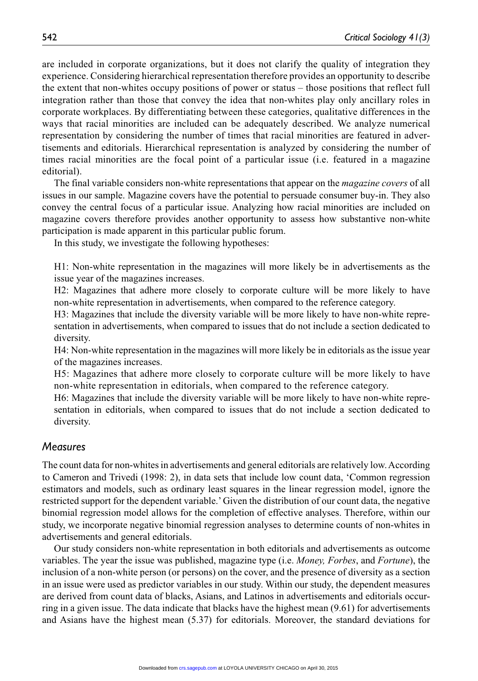are included in corporate organizations, but it does not clarify the quality of integration they experience. Considering hierarchical representation therefore provides an opportunity to describe the extent that non-whites occupy positions of power or status – those positions that reflect full integration rather than those that convey the idea that non-whites play only ancillary roles in corporate workplaces. By differentiating between these categories, qualitative differences in the ways that racial minorities are included can be adequately described. We analyze numerical representation by considering the number of times that racial minorities are featured in advertisements and editorials. Hierarchical representation is analyzed by considering the number of times racial minorities are the focal point of a particular issue (i.e. featured in a magazine editorial).

The final variable considers non-white representations that appear on the *magazine covers* of all issues in our sample. Magazine covers have the potential to persuade consumer buy-in. They also convey the central focus of a particular issue. Analyzing how racial minorities are included on magazine covers therefore provides another opportunity to assess how substantive non-white participation is made apparent in this particular public forum.

In this study, we investigate the following hypotheses:

H1: Non-white representation in the magazines will more likely be in advertisements as the issue year of the magazines increases.

H2: Magazines that adhere more closely to corporate culture will be more likely to have non-white representation in advertisements, when compared to the reference category.

H3: Magazines that include the diversity variable will be more likely to have non-white representation in advertisements, when compared to issues that do not include a section dedicated to diversity.

H4: Non-white representation in the magazines will more likely be in editorials as the issue year of the magazines increases.

H5: Magazines that adhere more closely to corporate culture will be more likely to have non-white representation in editorials, when compared to the reference category.

H6: Magazines that include the diversity variable will be more likely to have non-white representation in editorials, when compared to issues that do not include a section dedicated to diversity.

#### *Measures*

The count data for non-whites in advertisements and general editorials are relatively low. According to Cameron and Trivedi (1998: 2), in data sets that include low count data, 'Common regression estimators and models, such as ordinary least squares in the linear regression model, ignore the restricted support for the dependent variable.' Given the distribution of our count data, the negative binomial regression model allows for the completion of effective analyses. Therefore, within our study, we incorporate negative binomial regression analyses to determine counts of non-whites in advertisements and general editorials.

Our study considers non-white representation in both editorials and advertisements as outcome variables. The year the issue was published, magazine type (i.e. *Money, Forbes*, and *Fortune*), the inclusion of a non-white person (or persons) on the cover, and the presence of diversity as a section in an issue were used as predictor variables in our study. Within our study, the dependent measures are derived from count data of blacks, Asians, and Latinos in advertisements and editorials occurring in a given issue. The data indicate that blacks have the highest mean (9.61) for advertisements and Asians have the highest mean (5.37) for editorials. Moreover, the standard deviations for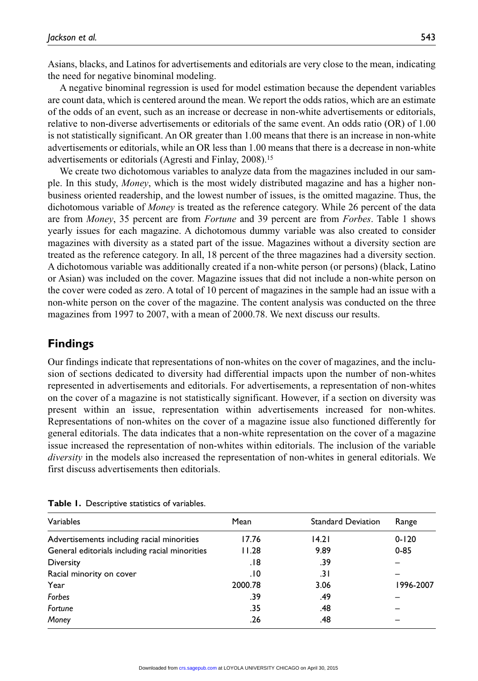Asians, blacks, and Latinos for advertisements and editorials are very close to the mean, indicating the need for negative binominal modeling.

A negative binominal regression is used for model estimation because the dependent variables are count data, which is centered around the mean. We report the odds ratios, which are an estimate of the odds of an event, such as an increase or decrease in non-white advertisements or editorials, relative to non-diverse advertisements or editorials of the same event. An odds ratio (OR) of 1.00 is not statistically significant. An OR greater than 1.00 means that there is an increase in non-white advertisements or editorials, while an OR less than 1.00 means that there is a decrease in non-white advertisements or editorials (Agresti and Finlay, 2008).15

We create two dichotomous variables to analyze data from the magazines included in our sample. In this study, *Money*, which is the most widely distributed magazine and has a higher nonbusiness oriented readership, and the lowest number of issues, is the omitted magazine. Thus, the dichotomous variable of *Money* is treated as the reference category. While 26 percent of the data are from *Money*, 35 percent are from *Fortune* and 39 percent are from *Forbes*. Table 1 shows yearly issues for each magazine. A dichotomous dummy variable was also created to consider magazines with diversity as a stated part of the issue. Magazines without a diversity section are treated as the reference category. In all, 18 percent of the three magazines had a diversity section. A dichotomous variable was additionally created if a non-white person (or persons) (black, Latino or Asian) was included on the cover. Magazine issues that did not include a non-white person on the cover were coded as zero. A total of 10 percent of magazines in the sample had an issue with a non-white person on the cover of the magazine. The content analysis was conducted on the three magazines from 1997 to 2007, with a mean of 2000.78. We next discuss our results.

# **Findings**

Our findings indicate that representations of non-whites on the cover of magazines, and the inclusion of sections dedicated to diversity had differential impacts upon the number of non-whites represented in advertisements and editorials. For advertisements, a representation of non-whites on the cover of a magazine is not statistically significant. However, if a section on diversity was present within an issue, representation within advertisements increased for non-whites. Representations of non-whites on the cover of a magazine issue also functioned differently for general editorials. The data indicates that a non-white representation on the cover of a magazine issue increased the representation of non-whites within editorials. The inclusion of the variable *diversity* in the models also increased the representation of non-whites in general editorials. We first discuss advertisements then editorials.

| Variables                                      | Mean    | <b>Standard Deviation</b> | Range     |
|------------------------------------------------|---------|---------------------------|-----------|
| Advertisements including racial minorities     | 17.76   | 14.21                     | $0 - 120$ |
| General editorials including racial minorities | 11.28   | 9.89                      | $0 - 85$  |
| <b>Diversity</b>                               | 18.     | .39                       |           |
| Racial minority on cover                       | .10     | .31                       |           |
| Year                                           | 2000.78 | 3.06                      | 1996-2007 |
| Forbes                                         | .39     | .49                       |           |
| Fortune                                        | .35     | .48                       |           |
| Money                                          | .26     | .48                       |           |

**Table 1.** Descriptive statistics of variables.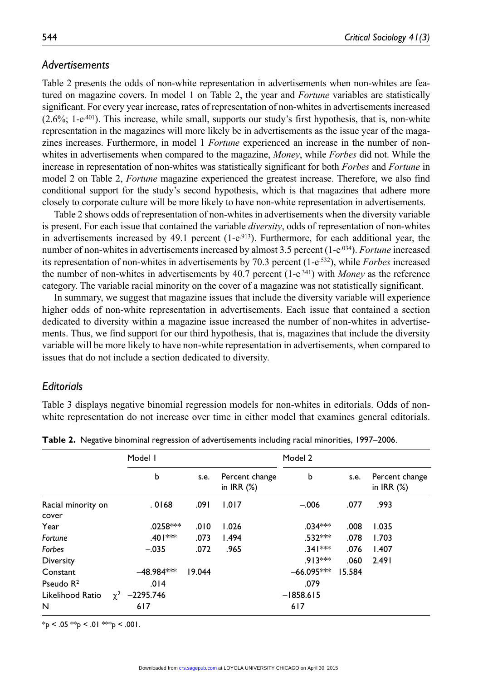### *Advertisements*

Table 2 presents the odds of non-white representation in advertisements when non-whites are featured on magazine covers. In model 1 on Table 2, the year and *Fortune* variables are statistically significant. For every year increase, rates of representation of non-whites in advertisements increased  $(2.6\%; 1-e^{401})$ . This increase, while small, supports our study's first hypothesis, that is, non-white representation in the magazines will more likely be in advertisements as the issue year of the magazines increases. Furthermore, in model 1 *Fortune* experienced an increase in the number of nonwhites in advertisements when compared to the magazine, *Money*, while *Forbes* did not. While the increase in representation of non-whites was statistically significant for both *Forbes* and *Fortune* in model 2 on Table 2, *Fortune* magazine experienced the greatest increase. Therefore, we also find conditional support for the study's second hypothesis, which is that magazines that adhere more closely to corporate culture will be more likely to have non-white representation in advertisements.

Table 2 shows odds of representation of non-whites in advertisements when the diversity variable is present. For each issue that contained the variable *diversity*, odds of representation of non-whites in advertisements increased by 49.1 percent  $(1-e^{913})$ . Furthermore, for each additional year, the number of non-whites in advertisements increased by almost 3.5 percent (1-e<sup>.034</sup>). *Fortune* increased its representation of non-whites in advertisements by 70.3 percent (1-e.532), while *Forbes* increased the number of non-whites in advertisements by 40.7 percent (1-e.341) with *Money* as the reference category. The variable racial minority on the cover of a magazine was not statistically significant.

In summary, we suggest that magazine issues that include the diversity variable will experience higher odds of non-white representation in advertisements. Each issue that contained a section dedicated to diversity within a magazine issue increased the number of non-whites in advertisements. Thus, we find support for our third hypothesis, that is, magazines that include the diversity variable will be more likely to have non-white representation in advertisements, when compared to issues that do not include a section dedicated to diversity.

### *Editorials*

Table 3 displays negative binomial regression models for non-whites in editorials. Odds of nonwhite representation do not increase over time in either model that examines general editorials.

|                             | Model I                   |        |                                   | Model 2      |        |                                |
|-----------------------------|---------------------------|--------|-----------------------------------|--------------|--------|--------------------------------|
|                             | b                         | s.e.   | Percent change<br>in $IRR$ $(\%)$ | b            | s.e.   | Percent change<br>in IRR $(%)$ |
| Racial minority on<br>cover | .0168                     | .091   | 1.017                             | $-.006$      | .077   | .993                           |
| Year                        | .0258***                  | .010   | 1.026                             | $.034***$    | .008   | 1.035                          |
| Fortune                     | .401 ***                  | .073   | 1.494                             | $.532***$    | .078   | 1.703                          |
| Forbes                      | $-.035$                   | .072   | .965                              | $.341***$    | .076   | 1.407                          |
| <b>Diversity</b>            |                           |        |                                   | .913 ***     | .060   | 2.491                          |
| Constant                    | $-48.984***$              | 19.044 |                                   | $-66.095***$ | 15.584 |                                |
| Pseudo $R2$                 | .014                      |        |                                   | .079         |        |                                |
| Likelihood Ratio            | $\gamma^2$<br>$-2295.746$ |        |                                   | $-1858.615$  |        |                                |
| N                           | 617                       |        |                                   | 617          |        |                                |

**Table 2.** Negative binominal regression of advertisements including racial minorities, 1997–2006.

 $*_{p}$  < .05  $*_{p}$  < .01  $*_{p}$  < .001.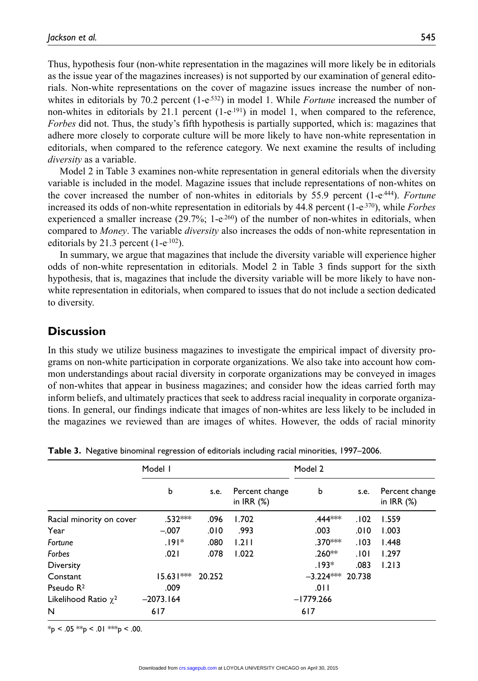Thus, hypothesis four (non-white representation in the magazines will more likely be in editorials as the issue year of the magazines increases) is not supported by our examination of general editorials. Non-white representations on the cover of magazine issues increase the number of nonwhites in editorials by 70.2 percent (1-e<sup>.532</sup>) in model 1. While *Fortune* increased the number of non-whites in editorials by 21.1 percent  $(1-e^{.191})$  in model 1, when compared to the reference, *Forbes* did not. Thus, the study's fifth hypothesis is partially supported, which is: magazines that adhere more closely to corporate culture will be more likely to have non-white representation in editorials, when compared to the reference category. We next examine the results of including *diversity* as a variable.

Model 2 in Table 3 examines non-white representation in general editorials when the diversity variable is included in the model. Magazine issues that include representations of non-whites on the cover increased the number of non-whites in editorials by 55.9 percent (1-e.444). *Fortune* increased its odds of non-white representation in editorials by 44.8 percent (1-e.370), while *Forbes* experienced a smaller increase  $(29.7\%)$ ; 1-e<sup>260</sup>) of the number of non-whites in editorials, when compared to *Money*. The variable *diversity* also increases the odds of non-white representation in editorials by 21.3 percent  $(1-e^{102})$ .

In summary, we argue that magazines that include the diversity variable will experience higher odds of non-white representation in editorials. Model 2 in Table 3 finds support for the sixth hypothesis, that is, magazines that include the diversity variable will be more likely to have nonwhite representation in editorials, when compared to issues that do not include a section dedicated to diversity.

# **Discussion**

In this study we utilize business magazines to investigate the empirical impact of diversity programs on non-white participation in corporate organizations. We also take into account how common understandings about racial diversity in corporate organizations may be conveyed in images of non-whites that appear in business magazines; and consider how the ideas carried forth may inform beliefs, and ultimately practices that seek to address racial inequality in corporate organizations. In general, our findings indicate that images of non-whites are less likely to be included in the magazines we reviewed than are images of whites. However, the odds of racial minority

|                           | Model I     |        |                                | Model 2            |      |                                 |
|---------------------------|-------------|--------|--------------------------------|--------------------|------|---------------------------------|
|                           | b           | s.e.   | Percent change<br>in IRR $(%)$ | b                  | s.e. | Percent change<br>in IRR $(\%)$ |
| Racial minority on cover  | $.532***$   | .096   | 1.702                          | .444***            | .102 | 1.559                           |
| Year                      | $-.007$     | .010   | .993                           | .003               | .010 | 1.003                           |
| Fortune                   | $.191*$     | .080   | 1.211                          | $.370***$          | .103 | 1.448                           |
| Forbes                    | .021        | .078   | 1.022                          | $.260***$          | .101 | 1.297                           |
| Diversity                 |             |        |                                | $.193*$            | .083 | 1.213                           |
| Constant                  | $15.631***$ | 20.252 |                                | $-3.224***$ 20.738 |      |                                 |
| Pseudo $R^2$              | .009        |        |                                | .011               |      |                                 |
| Likelihood Ratio $\chi^2$ | $-2073.164$ |        |                                | $-1779.266$        |      |                                 |
| N                         | 617         |        |                                | 617                |      |                                 |

**Table 3.** Negative binominal regression of editorials including racial minorities, 1997–2006.

 $*_{p}$  < .05  $*_{p}$  < .01  $*_{p}$  < .00.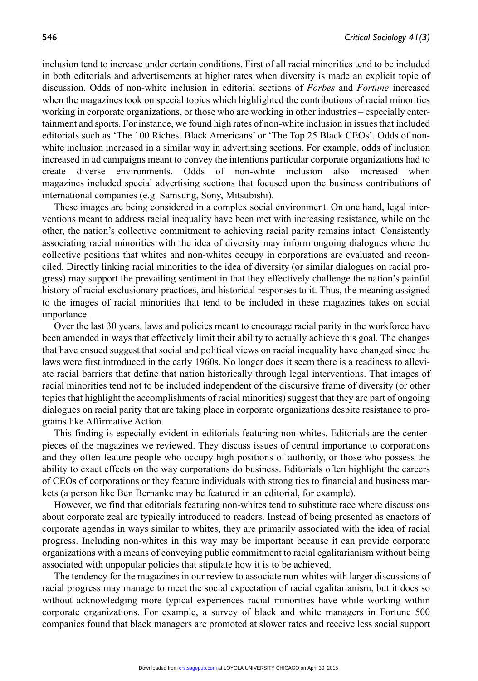inclusion tend to increase under certain conditions. First of all racial minorities tend to be included in both editorials and advertisements at higher rates when diversity is made an explicit topic of discussion. Odds of non-white inclusion in editorial sections of *Forbes* and *Fortune* increased when the magazines took on special topics which highlighted the contributions of racial minorities working in corporate organizations, or those who are working in other industries – especially entertainment and sports. For instance, we found high rates of non-white inclusion in issues that included editorials such as 'The 100 Richest Black Americans' or 'The Top 25 Black CEOs'. Odds of nonwhite inclusion increased in a similar way in advertising sections. For example, odds of inclusion increased in ad campaigns meant to convey the intentions particular corporate organizations had to create diverse environments. Odds of non-white inclusion also increased when magazines included special advertising sections that focused upon the business contributions of international companies (e.g. Samsung, Sony, Mitsubishi).

These images are being considered in a complex social environment. On one hand, legal interventions meant to address racial inequality have been met with increasing resistance, while on the other, the nation's collective commitment to achieving racial parity remains intact. Consistently associating racial minorities with the idea of diversity may inform ongoing dialogues where the collective positions that whites and non-whites occupy in corporations are evaluated and reconciled. Directly linking racial minorities to the idea of diversity (or similar dialogues on racial progress) may support the prevailing sentiment in that they effectively challenge the nation's painful history of racial exclusionary practices, and historical responses to it. Thus, the meaning assigned to the images of racial minorities that tend to be included in these magazines takes on social importance.

Over the last 30 years, laws and policies meant to encourage racial parity in the workforce have been amended in ways that effectively limit their ability to actually achieve this goal. The changes that have ensued suggest that social and political views on racial inequality have changed since the laws were first introduced in the early 1960s. No longer does it seem there is a readiness to alleviate racial barriers that define that nation historically through legal interventions. That images of racial minorities tend not to be included independent of the discursive frame of diversity (or other topics that highlight the accomplishments of racial minorities) suggest that they are part of ongoing dialogues on racial parity that are taking place in corporate organizations despite resistance to programs like Affirmative Action.

This finding is especially evident in editorials featuring non-whites. Editorials are the centerpieces of the magazines we reviewed. They discuss issues of central importance to corporations and they often feature people who occupy high positions of authority, or those who possess the ability to exact effects on the way corporations do business. Editorials often highlight the careers of CEOs of corporations or they feature individuals with strong ties to financial and business markets (a person like Ben Bernanke may be featured in an editorial, for example).

However, we find that editorials featuring non-whites tend to substitute race where discussions about corporate zeal are typically introduced to readers. Instead of being presented as enactors of corporate agendas in ways similar to whites, they are primarily associated with the idea of racial progress. Including non-whites in this way may be important because it can provide corporate organizations with a means of conveying public commitment to racial egalitarianism without being associated with unpopular policies that stipulate how it is to be achieved.

The tendency for the magazines in our review to associate non-whites with larger discussions of racial progress may manage to meet the social expectation of racial egalitarianism, but it does so without acknowledging more typical experiences racial minorities have while working within corporate organizations. For example, a survey of black and white managers in Fortune 500 companies found that black managers are promoted at slower rates and receive less social support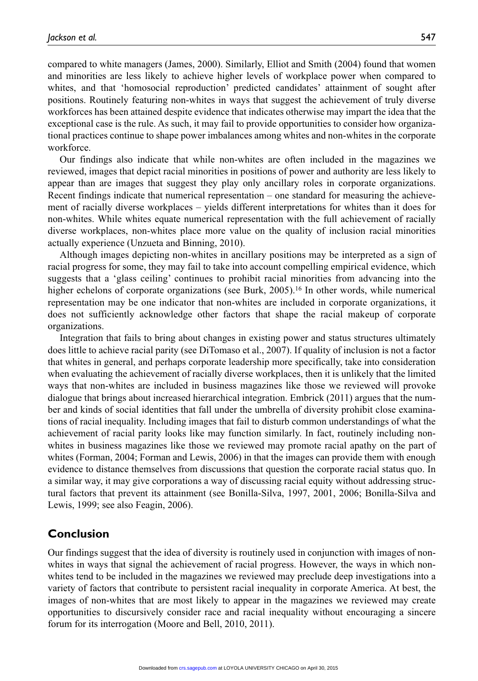compared to white managers (James, 2000). Similarly, Elliot and Smith (2004) found that women and minorities are less likely to achieve higher levels of workplace power when compared to whites, and that 'homosocial reproduction' predicted candidates' attainment of sought after positions. Routinely featuring non-whites in ways that suggest the achievement of truly diverse workforces has been attained despite evidence that indicates otherwise may impart the idea that the exceptional case is the rule. As such, it may fail to provide opportunities to consider how organizational practices continue to shape power imbalances among whites and non-whites in the corporate workforce.

Our findings also indicate that while non-whites are often included in the magazines we reviewed, images that depict racial minorities in positions of power and authority are less likely to appear than are images that suggest they play only ancillary roles in corporate organizations. Recent findings indicate that numerical representation – one standard for measuring the achievement of racially diverse workplaces – yields different interpretations for whites than it does for non-whites. While whites equate numerical representation with the full achievement of racially diverse workplaces, non-whites place more value on the quality of inclusion racial minorities actually experience (Unzueta and Binning, 2010).

Although images depicting non-whites in ancillary positions may be interpreted as a sign of racial progress for some, they may fail to take into account compelling empirical evidence, which suggests that a 'glass ceiling' continues to prohibit racial minorities from advancing into the higher echelons of corporate organizations (see Burk, 2005).<sup>16</sup> In other words, while numerical representation may be one indicator that non-whites are included in corporate organizations, it does not sufficiently acknowledge other factors that shape the racial makeup of corporate organizations.

Integration that fails to bring about changes in existing power and status structures ultimately does little to achieve racial parity (see DiTomaso et al., 2007). If quality of inclusion is not a factor that whites in general, and perhaps corporate leadership more specifically, take into consideration when evaluating the achievement of racially diverse workplaces, then it is unlikely that the limited ways that non-whites are included in business magazines like those we reviewed will provoke dialogue that brings about increased hierarchical integration. Embrick (2011) argues that the number and kinds of social identities that fall under the umbrella of diversity prohibit close examinations of racial inequality. Including images that fail to disturb common understandings of what the achievement of racial parity looks like may function similarly. In fact, routinely including nonwhites in business magazines like those we reviewed may promote racial apathy on the part of whites (Forman, 2004; Forman and Lewis, 2006) in that the images can provide them with enough evidence to distance themselves from discussions that question the corporate racial status quo. In a similar way, it may give corporations a way of discussing racial equity without addressing structural factors that prevent its attainment (see Bonilla-Silva, 1997, 2001, 2006; Bonilla-Silva and Lewis, 1999; see also Feagin, 2006).

# **Conclusion**

Our findings suggest that the idea of diversity is routinely used in conjunction with images of nonwhites in ways that signal the achievement of racial progress. However, the ways in which nonwhites tend to be included in the magazines we reviewed may preclude deep investigations into a variety of factors that contribute to persistent racial inequality in corporate America. At best, the images of non-whites that are most likely to appear in the magazines we reviewed may create opportunities to discursively consider race and racial inequality without encouraging a sincere forum for its interrogation (Moore and Bell, 2010, 2011).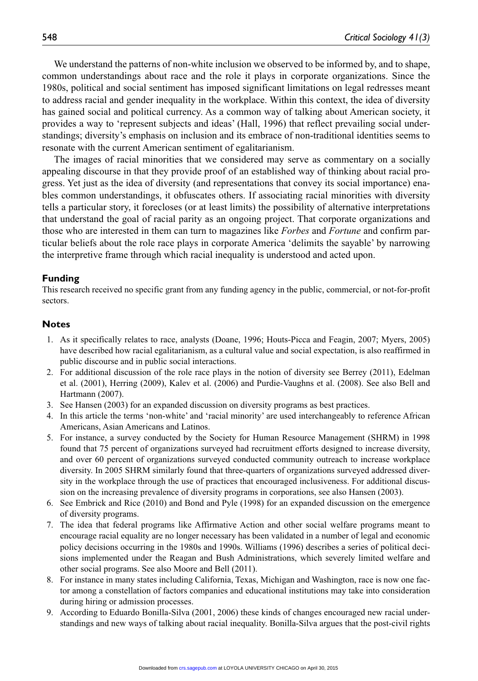We understand the patterns of non-white inclusion we observed to be informed by, and to shape, common understandings about race and the role it plays in corporate organizations. Since the 1980s, political and social sentiment has imposed significant limitations on legal redresses meant to address racial and gender inequality in the workplace. Within this context, the idea of diversity has gained social and political currency. As a common way of talking about American society, it provides a way to 'represent subjects and ideas' (Hall, 1996) that reflect prevailing social understandings; diversity's emphasis on inclusion and its embrace of non-traditional identities seems to resonate with the current American sentiment of egalitarianism.

The images of racial minorities that we considered may serve as commentary on a socially appealing discourse in that they provide proof of an established way of thinking about racial progress. Yet just as the idea of diversity (and representations that convey its social importance) enables common understandings, it obfuscates others. If associating racial minorities with diversity tells a particular story, it forecloses (or at least limits) the possibility of alternative interpretations that understand the goal of racial parity as an ongoing project. That corporate organizations and those who are interested in them can turn to magazines like *Forbes* and *Fortune* and confirm particular beliefs about the role race plays in corporate America 'delimits the sayable' by narrowing the interpretive frame through which racial inequality is understood and acted upon.

#### **Funding**

This research received no specific grant from any funding agency in the public, commercial, or not-for-profit sectors.

#### **Notes**

- 1. As it specifically relates to race, analysts (Doane, 1996; Houts-Picca and Feagin, 2007; Myers, 2005) have described how racial egalitarianism, as a cultural value and social expectation, is also reaffirmed in public discourse and in public social interactions.
- 2. For additional discussion of the role race plays in the notion of diversity see Berrey (2011), Edelman et al. (2001), Herring (2009), Kalev et al. (2006) and Purdie-Vaughns et al. (2008). See also Bell and Hartmann (2007).
- 3. See Hansen (2003) for an expanded discussion on diversity programs as best practices.
- 4. In this article the terms 'non-white' and 'racial minority' are used interchangeably to reference African Americans, Asian Americans and Latinos.
- 5. For instance, a survey conducted by the Society for Human Resource Management (SHRM) in 1998 found that 75 percent of organizations surveyed had recruitment efforts designed to increase diversity, and over 60 percent of organizations surveyed conducted community outreach to increase workplace diversity. In 2005 SHRM similarly found that three-quarters of organizations surveyed addressed diversity in the workplace through the use of practices that encouraged inclusiveness. For additional discussion on the increasing prevalence of diversity programs in corporations, see also Hansen (2003).
- 6. See Embrick and Rice (2010) and Bond and Pyle (1998) for an expanded discussion on the emergence of diversity programs.
- 7. The idea that federal programs like Affirmative Action and other social welfare programs meant to encourage racial equality are no longer necessary has been validated in a number of legal and economic policy decisions occurring in the 1980s and 1990s. Williams (1996) describes a series of political decisions implemented under the Reagan and Bush Administrations, which severely limited welfare and other social programs. See also Moore and Bell (2011).
- 8. For instance in many states including California, Texas, Michigan and Washington, race is now one factor among a constellation of factors companies and educational institutions may take into consideration during hiring or admission processes.
- 9. According to Eduardo Bonilla-Silva (2001, 2006) these kinds of changes encouraged new racial understandings and new ways of talking about racial inequality. Bonilla-Silva argues that the post-civil rights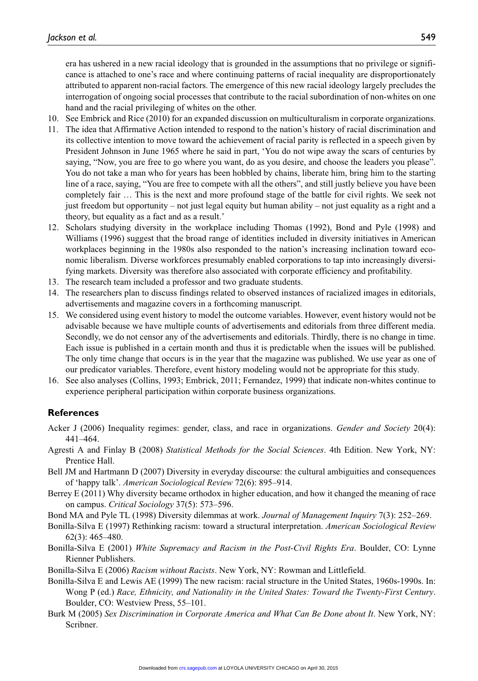era has ushered in a new racial ideology that is grounded in the assumptions that no privilege or significance is attached to one's race and where continuing patterns of racial inequality are disproportionately attributed to apparent non-racial factors. The emergence of this new racial ideology largely precludes the interrogation of ongoing social processes that contribute to the racial subordination of non-whites on one hand and the racial privileging of whites on the other.

- 10. See Embrick and Rice (2010) for an expanded discussion on multiculturalism in corporate organizations.
- 11. The idea that Affirmative Action intended to respond to the nation's history of racial discrimination and its collective intention to move toward the achievement of racial parity is reflected in a speech given by President Johnson in June 1965 where he said in part, 'You do not wipe away the scars of centuries by saying, "Now, you are free to go where you want, do as you desire, and choose the leaders you please". You do not take a man who for years has been hobbled by chains, liberate him, bring him to the starting line of a race, saying, "You are free to compete with all the others", and still justly believe you have been completely fair … This is the next and more profound stage of the battle for civil rights. We seek not just freedom but opportunity – not just legal equity but human ability – not just equality as a right and a theory, but equality as a fact and as a result.'
- 12. Scholars studying diversity in the workplace including Thomas (1992), Bond and Pyle (1998) and Williams (1996) suggest that the broad range of identities included in diversity initiatives in American workplaces beginning in the 1980s also responded to the nation's increasing inclination toward economic liberalism. Diverse workforces presumably enabled corporations to tap into increasingly diversifying markets. Diversity was therefore also associated with corporate efficiency and profitability.
- 13. The research team included a professor and two graduate students.
- 14. The researchers plan to discuss findings related to observed instances of racialized images in editorials, advertisements and magazine covers in a forthcoming manuscript.
- 15. We considered using event history to model the outcome variables. However, event history would not be advisable because we have multiple counts of advertisements and editorials from three different media. Secondly, we do not censor any of the advertisements and editorials. Thirdly, there is no change in time. Each issue is published in a certain month and thus it is predictable when the issues will be published. The only time change that occurs is in the year that the magazine was published. We use year as one of our predicator variables. Therefore, event history modeling would not be appropriate for this study.
- 16. See also analyses (Collins, 1993; Embrick, 2011; Fernandez, 1999) that indicate non-whites continue to experience peripheral participation within corporate business organizations.

#### **References**

- Acker J (2006) Inequality regimes: gender, class, and race in organizations. *Gender and Society* 20(4): 441–464.
- Agresti A and Finlay B (2008) *Statistical Methods for the Social Sciences*. 4th Edition. New York, NY: Prentice Hall.
- Bell JM and Hartmann D (2007) Diversity in everyday discourse: the cultural ambiguities and consequences of 'happy talk'. *American Sociological Review* 72(6): 895–914.
- Berrey E (2011) Why diversity became orthodox in higher education, and how it changed the meaning of race on campus. *Critical Sociology* 37(5): 573–596.
- Bond MA and Pyle TL (1998) Diversity dilemmas at work. *Journal of Management Inquiry* 7(3): 252–269.
- Bonilla-Silva E (1997) Rethinking racism: toward a structural interpretation. *American Sociological Review* 62(3): 465–480.
- Bonilla-Silva E (2001) *White Supremacy and Racism in the Post-Civil Rights Era*. Boulder, CO: Lynne Rienner Publishers.
- Bonilla-Silva E (2006) *Racism without Racists*. New York, NY: Rowman and Littlefield.
- Bonilla-Silva E and Lewis AE (1999) The new racism: racial structure in the United States, 1960s-1990s. In: Wong P (ed.) *Race, Ethnicity, and Nationality in the United States: Toward the Twenty-First Century*. Boulder, CO: Westview Press, 55–101.
- Burk M (2005) Sex Discrimination in Corporate America and What Can Be Done about It. New York, NY: Scribner.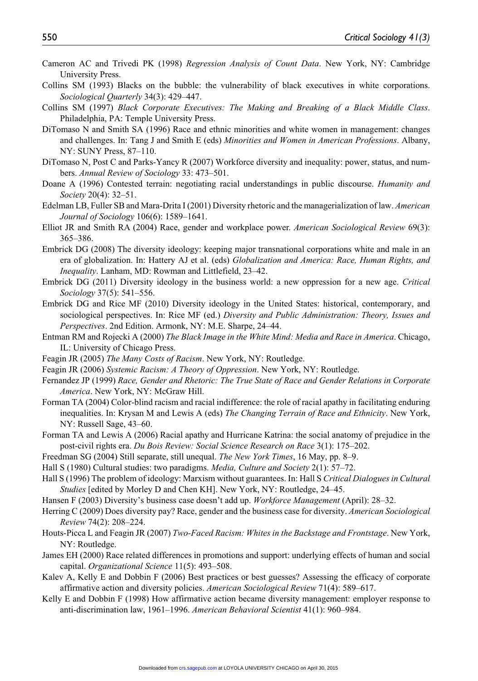- Cameron AC and Trivedi PK (1998) *Regression Analysis of Count Data*. New York, NY: Cambridge University Press.
- Collins SM (1993) Blacks on the bubble: the vulnerability of black executives in white corporations. *Sociological Quarterly* 34(3): 429–447.
- Collins SM (1997) *Black Corporate Executives: The Making and Breaking of a Black Middle Class*. Philadelphia, PA: Temple University Press.
- DiTomaso N and Smith SA (1996) Race and ethnic minorities and white women in management: changes and challenges. In: Tang J and Smith E (eds) *Minorities and Women in American Professions*. Albany, NY: SUNY Press, 87–110.
- DiTomaso N, Post C and Parks-Yancy R (2007) Workforce diversity and inequality: power, status, and numbers. *Annual Review of Sociology* 33: 473–501.
- Doane A (1996) Contested terrain: negotiating racial understandings in public discourse. *Humanity and Society* 20(4): 32–51.
- Edelman LB, Fuller SB and Mara-Drita I (2001) Diversity rhetoric and the managerialization of law. *American Journal of Sociology* 106(6): 1589–1641.
- Elliot JR and Smith RA (2004) Race, gender and workplace power. *American Sociological Review* 69(3): 365–386.
- Embrick DG (2008) The diversity ideology: keeping major transnational corporations white and male in an era of globalization. In: Hattery AJ et al. (eds) *Globalization and America: Race, Human Rights, and Inequality*. Lanham, MD: Rowman and Littlefield, 23–42.
- Embrick DG (2011) Diversity ideology in the business world: a new oppression for a new age. *Critical Sociology* 37(5): 541–556.
- Embrick DG and Rice MF (2010) Diversity ideology in the United States: historical, contemporary, and sociological perspectives. In: Rice MF (ed.) *Diversity and Public Administration: Theory, Issues and Perspectives*. 2nd Edition. Armonk, NY: M.E. Sharpe, 24–44.
- Entman RM and Rojecki A (2000) *The Black Image in the White Mind: Media and Race in America*. Chicago, IL: University of Chicago Press.
- Feagin JR (2005) *The Many Costs of Racism*. New York, NY: Routledge.
- Feagin JR (2006) *Systemic Racism: A Theory of Oppression*. New York, NY: Routledge.
- Fernandez JP (1999) *Race, Gender and Rhetoric: The True State of Race and Gender Relations in Corporate America*. New York, NY: McGraw Hill.
- Forman TA (2004) Color-blind racism and racial indifference: the role of racial apathy in facilitating enduring inequalities. In: Krysan M and Lewis A (eds) *The Changing Terrain of Race and Ethnicity*. New York, NY: Russell Sage, 43–60.
- Forman TA and Lewis A (2006) Racial apathy and Hurricane Katrina: the social anatomy of prejudice in the post-civil rights era. *Du Bois Review: Social Science Research on Race* 3(1): 175–202.
- Freedman SG (2004) Still separate, still unequal. *The New York Times*, 16 May, pp. 8–9.
- Hall S (1980) Cultural studies: two paradigms. *Media, Culture and Society* 2(1): 57–72.
- Hall S (1996) The problem of ideology: Marxism without guarantees. In: Hall S *Critical Dialogues in Cultural Studies* [edited by Morley D and Chen KH]. New York, NY: Routledge, 24–45.
- Hansen F (2003) Diversity's business case doesn't add up. *Workforce Management* (April): 28–32.
- Herring C (2009) Does diversity pay? Race, gender and the business case for diversity. *American Sociological Review* 74(2): 208–224.
- Houts-Picca L and Feagin JR (2007) *Two-Faced Racism: Whites in the Backstage and Frontstage*. New York, NY: Routledge.
- James EH (2000) Race related differences in promotions and support: underlying effects of human and social capital. *Organizational Science* 11(5): 493–508.
- Kalev A, Kelly E and Dobbin F (2006) Best practices or best guesses? Assessing the efficacy of corporate affirmative action and diversity policies. *American Sociological Review* 71(4): 589–617.
- Kelly E and Dobbin F (1998) How affirmative action became diversity management: employer response to anti-discrimination law, 1961–1996. *American Behavioral Scientist* 41(1): 960–984.